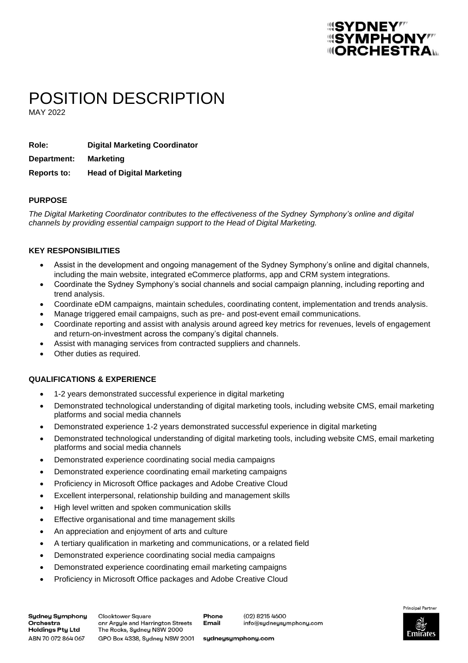## *<u> SYMPHONY !!!</u> <u>IIIORCHESTRA</u>*

# POSITION DESCRIPTION

MAY 2022

| Role:       | <b>Digital Marketing Coordinator</b> |
|-------------|--------------------------------------|
| Department: | <b>Marketing</b>                     |
| Reports to: | <b>Head of Digital Marketing</b>     |

#### **PURPOSE**

*The Digital Marketing Coordinator contributes to the effectiveness of the Sydney Symphony's online and digital channels by providing essential campaign support to the Head of Digital Marketing.*

#### **KEY RESPONSIBILITIES**

- Assist in the development and ongoing management of the Sydney Symphony's online and digital channels, including the main website, integrated eCommerce platforms, app and CRM system integrations.
- Coordinate the Sydney Symphony's social channels and social campaign planning, including reporting and trend analysis.
- Coordinate eDM campaigns, maintain schedules, coordinating content, implementation and trends analysis.
- Manage triggered email campaigns, such as pre- and post-event email communications.
- Coordinate reporting and assist with analysis around agreed key metrics for revenues, levels of engagement and return-on-investment across the company's digital channels.
- Assist with managing services from contracted suppliers and channels.
- Other duties as required.

### **QUALIFICATIONS & EXPERIENCE**

- 1-2 years demonstrated successful experience in digital marketing
- Demonstrated technological understanding of digital marketing tools, including website CMS, email marketing platforms and social media channels
- Demonstrated experience 1-2 years demonstrated successful experience in digital marketing
- Demonstrated technological understanding of digital marketing tools, including website CMS, email marketing platforms and social media channels
- Demonstrated experience coordinating social media campaigns
- Demonstrated experience coordinating email marketing campaigns
- Proficiency in Microsoft Office packages and Adobe Creative Cloud
- Excellent interpersonal, relationship building and management skills
- High level written and spoken communication skills
- Effective organisational and time management skills
- An appreciation and enjoyment of arts and culture
- A tertiary qualification in marketing and communications, or a related field
- Demonstrated experience coordinating social media campaigns
- Demonstrated experience coordinating email marketing campaigns
- Proficiency in Microsoft Office packages and Adobe Creative Cloud

**Sydney Symphony** Orchestra Holdings Pty Ltd ABN 70 072 864 067

**Clocktower Square** onr Argyle and Harrington Streets The Rocks, Sydney NSW 2000 GPO Box 4338, Sydney NSW 2001

Phone **Email** 

(02) 8215 4600 info@sydneysymphony.com



sydneysymphony.com